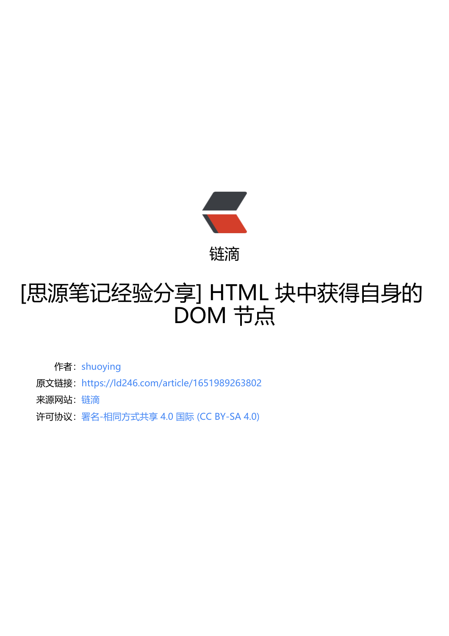

## [思源笔记经验分享] [HTM](https://ld246.com)L 块中获得自身的 DOM 节点

作者: shuoying

- 原文链接:https://ld246.com/article/1651989263802
- 来源网站: [链滴](https://ld246.com/member/shuoying)
- 许可协议:[署名-相同方式共享 4.0 国际 \(CC BY-SA 4.0\)](https://ld246.com/article/1651989263802)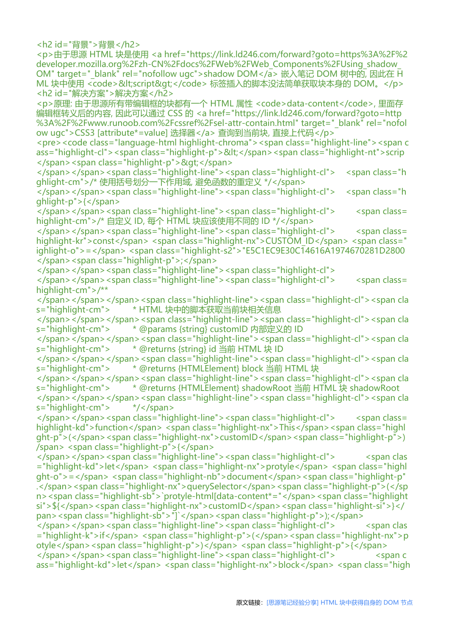<h2 id="背景">背景</h2> <p>由于思源 HTML 块是使用 <a href="https://link.ld246.com/forward?goto=https%3A%2F%2 developer.mozilla.org%2Fzh-CN%2Fdocs%2FWeb%2FWeb\_Components%2FUsing\_shadow\_ OM" target=" blank" rel="nofollow ugc">shadow DOM</a> 嵌入笔记 DOM 树中的, 因此在 H ML 块中使用 <code>&lt;script&gt;</code> 标签插入的脚本没法简单获取块本身的 DOM。</p> <h2 id="解决方案">解决方案</h2> <p>原理: 由于思源所有带编辑框的块都有一个 HTML 属性 <code>data-content</code>, 里面存

编辑框转义后的内容, 因此可以通过 CSS 的 <a href="https://link.ld246.com/forward?goto=http %3A%2F%2Fwww.runoob.com%2Fcssref%2Fsel-attr-contain.html" target=" blank" rel="nofol ow ugc">CSS3 [attribute\*=value] 选择器</a> 查询到当前块, 直接上代码</p>

<pre><code class="language-html highlight-chroma"><span class="highlight-line"><span c ass="highlight-cl"><span class="highlight-p">&lt;</span><span class="highlight-nt">scrip </span><span class="highlight-p">&gt;</span>

</span></span><span class="highlight-line"><span class="highlight-cl"> <span class="h ghlight-cm">/\* 使用括号划分一下作用域, 避免函数的重定义 \*/</span>

</span></span><span class="highlight-line"><span class="highlight-cl"> <span class="h ghlight-p">{</span>

</span></span><span class="highlight-line"><span class="highlight-cl"> <span class= highlight-cm">/\* 自定义 ID, 每个 HTML 块应该使用不同的 ID \*/</span>

</span></span><span class="highlight-line"><span class="highlight-cl"> <span class= highlight-kr">const</span> <span class="highlight-nx">CUSTOM\_ID</span> <span class=" ighlight-o">=</span> <span class="highlight-s2">"E5C1EC9E30C14616A1974670281D2800 </span><span class="highlight-p">;</span>

</span></span><span class="highlight-line"><span class="highlight-cl">

</span></span><span class="highlight-line"><span class="highlight-cl"> <span class= highlight-cm">/\*\*

</span></span></span><span class="highlight-line"><span class="highlight-cl"><span cla s="highlight-cm"> \* HTML 块中的脚本获取当前块相关信息

</span></span></span><span class="highlight-line"><span class="highlight-cl"><span cla s="highlight-cm"> \* @params {string} customID 内部定义的 ID

</span></span></span><span class="highlight-line"><span class="highlight-cl"><span cla s="highlight-cm"> \* @returns {string} id 当前 HTML 块 ID

</span></span></span><span class="highlight-line"><span class="highlight-cl"><span cla s="highlight-cm"> \* @returns {HTMLElement} block 当前 HTML 块

</span></span></span><span class="highlight-line"><span class="highlight-cl"><span cla s="highlight-cm"> \* @returns {HTMLElement} shadowRoot 当前 HTML 块 shadowRoot

</span></span></span><span class="highlight-line"><span class="highlight-cl"><span cla s="highlight-cm"> \*/</span>

</span></span><span class="highlight-line"><span class="highlight-cl"> <span class= highlight-kd">function</span> <span class="highlight-nx">This</span><span class="highl ght-p">(</span><span class="highlight-nx">customID</span><span class="highlight-p">) /span> <span class="highlight-p">{</span>

</span></span><span class="highlight-line"><span class="highlight-cl"> <span clas ="highlight-kd">let</span> <span class="highlight-nx">protyle</span> <span class="highl ght-o">=</span> <span class="highlight-nb">document</span><span class="highlight-p" .</span><span class="highlight-nx">querySelector</span><span class="highlight-p">(</sp n><span class="highlight-sb">`protyle-html[data-content\*="</span><span class="highlight si">\${</span><span class="highlight-nx">customID</span><span class="highlight-si">}</ pan><span class="highlight-sb">"]`</span><span class="highlight-p">);</span>

</span></span><span class="highlight-line"><span class="highlight-cl"> <span clas ="highlight-k">if</span> <span class="highlight-p">(</span><span class="highlight-nx">p otyle</span><span class="highlight-p">)</span> <span class="highlight-p">{</span> </span></span><span class="highlight-line"><span class="highlight-cl"> <span c

ass="highlight-kd">let</span> <span class="highlight-nx">block</span> <span class="high